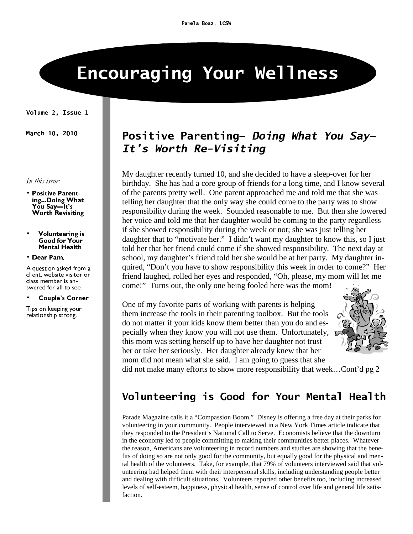# Encouraging Your Wellness

Volume 2. Issue 1

March 10, 2010

In this issue:

- · Positive Parenting...Doing What - Worth Revisiting
- Volunteering is Good for Your **Mental Health**
- Dear Pam,

A question asked from a client, website visitor or class member is answered for all to see.

• Couple's Corner

Tips on keeping your relationship strong.

# Positive Parenting- Doing What You Say-It's Worth Re-Visiting

My daughter recently turned 10, and she decided to have a sleep-over for her birthday. She has had a core group of friends for a long time, and I know several of the parents pretty well. One parent approached me and told me that she was telling her daughter that the only way she could come to the party was to show responsibility during the week. Sounded reasonable to me. But then she lowered her voice and told me that her daughter would be coming to the party regardless if she showed responsibility during the week or not; she was just telling her daughter that to "motivate her." I didn't want my daughter to know this, so I just told her that her friend could come if she showed responsibility. The next day at school, my daughter's friend told her she would be at her party. My daughter inquired, "Don't you have to show responsibility this week in order to come?" Her friend laughed, rolled her eyes and responded, "Oh, please, my mom will let me come!" Turns out, the only one being fooled here was the mom!

One of my favorite parts of working with parents is helping them increase the tools in their parenting toolbox. But the tools do not matter if your kids know them better than you do and especially when they know you will not use them. Unfortunately, this mom was setting herself up to have her daughter not trust her or take her seriously. Her daughter already knew that her mom did not mean what she said. I am going to guess that she



did not make many efforts to show more responsibility that week…Cont'd pg 2

## Volunteering is Good for Your Mental Health

Parade Magazine calls it a "Compassion Boom." Disney is offering a free day at their parks for volunteering in your community. People interviewed in a New York Times article indicate that they responded to the President's National Call to Serve. Economists believe that the downturn in the economy led to people committing to making their communities better places. Whatever the reason, Americans are volunteering in record numbers and studies are showing that the benefits of doing so are not only good for the community, but equally good for the physical and mental health of the volunteers. Take, for example, that 79% of volunteers interviewed said that volunteering had helped them with their interpersonal skills, including understanding people better and dealing with difficult situations. Volunteers reported other benefits too, including increased levels of self-esteem, happiness, physical health, sense of control over life and general life satisfaction.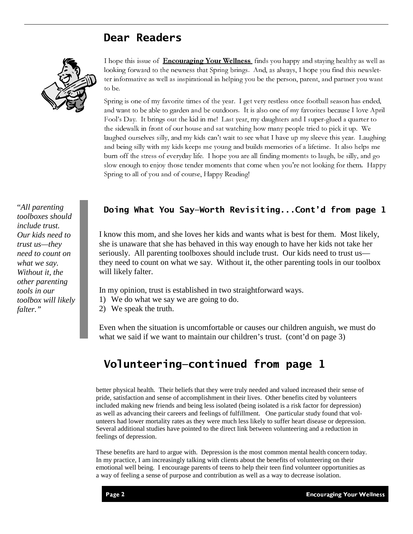# Dear Readers



I hope this issue of **Encouraging Your Wellness** finds you happy and staying healthy as well as looking forward to the newness that Spring brings. And, as always, I hope you find this newsletter informative as well as inspirational in helping you be the person, parent, and partner you want to be.

Spring is one of my favorite times of the year. I get very restless once football season has ended, and want to be able to garden and be outdoors. It is also one of my favorites because I love April Fool's Day. It brings out the kid in me! Last year, my daughters and I super-glued a quarter to the sidewalk in front of our house and sat watching how many people tried to pick it up. We laughed ourselves silly, and my kids can't wait to see what I have up my sleeve this year. Laughing and being silly with my kids keeps me young and builds memories of a lifetime. It also helps me burn off the stress of everyday life. I hope you are all finding moments to laugh, be silly, and go slow enough to enjoy those tender moments that come when you're not looking for them. Happy Spring to all of you and of course, Happy Reading!

"*All parenting toolboxes should include trust. Our kids need to trust us—they need to count on what we say. Without it, the other parenting tools in our toolbox will likely falter."* 

#### Doing What You Say—Worth Revisiting...Cont'd from page 1

I know this mom, and she loves her kids and wants what is best for them. Most likely, she is unaware that she has behaved in this way enough to have her kids not take her seriously. All parenting toolboxes should include trust. Our kids need to trust us they need to count on what we say. Without it, the other parenting tools in our toolbox will likely falter.

In my opinion, trust is established in two straightforward ways.

1) We do what we say we are going to do.

2) We speak the truth.

Even when the situation is uncomfortable or causes our children anguish, we must do what we said if we want to maintain our children's trust. (cont'd on page 3)

## Volunteering—continued from page 1

better physical health. Their beliefs that they were truly needed and valued increased their sense of pride, satisfaction and sense of accomplishment in their lives. Other benefits cited by volunteers included making new friends and being less isolated (being isolated is a risk factor for depression) as well as advancing their careers and feelings of fulfillment. One particular study found that volunteers had lower mortality rates as they were much less likely to suffer heart disease or depression. Several additional studies have pointed to the direct link between volunteering and a reduction in feelings of depression.

These benefits are hard to argue with. Depression is the most common mental health concern today. In my practice, I am increasingly talking with clients about the benefits of volunteering on their emotional well being. I encourage parents of teens to help their teen find volunteer opportunities as a way of feeling a sense of purpose and contribution as well as a way to decrease isolation.

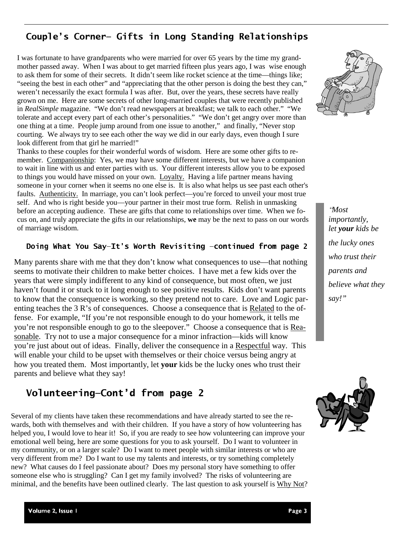### Couple's Corner— Gifts in Long Standing Relationships

I was fortunate to have grandparents who were married for over 65 years by the time my grandmother passed away. When I was about to get married fifteen plus years ago, I was wise enough to ask them for some of their secrets. It didn't seem like rocket science at the time—things like; "seeing the best in each other" and "appreciating that the other person is doing the best they can," weren't necessarily the exact formula I was after. But, over the years, these secrets have really grown on me. Here are some secrets of other long-married couples that were recently published in *RealSimple* magazine. "We don't read newspapers at breakfast; we talk to each other." "We tolerate and accept every part of each other's personalities." "We don't get angry over more than one thing at a time. People jump around from one issue to another," and finally, "Never stop courting. We always try to see each other the way we did in our early days, even though I sure look different from that girl he married!"

Thanks to these couples for their wonderful words of wisdom. Here are some other gifts to remember. Companionship: Yes, we may have some different interests, but we have a companion to wait in line with us and enter parties with us. Your different interests allow you to be exposed to things you would have missed on your own. Loyalty. Having a life partner means having someone in your corner when it seems no one else is. It is also what helps us see past each other's faults. Authenticity. In marriage, you can't look perfect—you're forced to unveil your most true self. And who is right beside you—your partner in their most true form. Relish in unmasking before an accepting audience. These are gifts that come to relationships over time. When we focus on, and truly appreciate the gifts in our relationships, **we** may be the next to pass on our words of marriage wisdom.

#### Doing What You Sav-It's Worth Revisiting -continued from page 2

Many parents share with me that they don't know what consequences to use—that nothing seems to motivate their children to make better choices. I have met a few kids over the years that were simply indifferent to any kind of consequence, but most often, we just haven't found it or stuck to it long enough to see positive results. Kids don't want parents to know that the consequence is working, so they pretend not to care. Love and Logic parenting teaches the 3 R's of consequences. Choose a consequence that is Related to the offense. For example, "If you're not responsible enough to do your homework, it tells me you're not responsible enough to go to the sleepover." Choose a consequence that is Reasonable. Try not to use a major consequence for a minor infraction—kids will know you're just about out of ideas. Finally, deliver the consequence in a Respectful way. This will enable your child to be upset with themselves or their choice versus being angry at how you treated them. Most importantly, let **your** kids be the lucky ones who trust their parents and believe what they say!

#### Volunteering—Cont'd from page 2

Several of my clients have taken these recommendations and have already started to see the rewards, both with themselves and with their children. If you have a story of how volunteering has helped you, I would love to hear it! So, if you are ready to see how volunteering can improve your emotional well being, here are some questions for you to ask yourself. Do I want to volunteer in my community, or on a larger scale? Do I want to meet people with similar interests or who are very different from me? Do I want to use my talents and interests, or try something completely new? What causes do I feel passionate about? Does my personal story have something to offer someone else who is struggling? Can I get my family involved? The risks of volunteering are minimal, and the benefits have been outlined clearly. The last question to ask yourself is Why Not?



"*Most importantly, let your kids be the lucky ones who trust their parents and believe what they say!"*